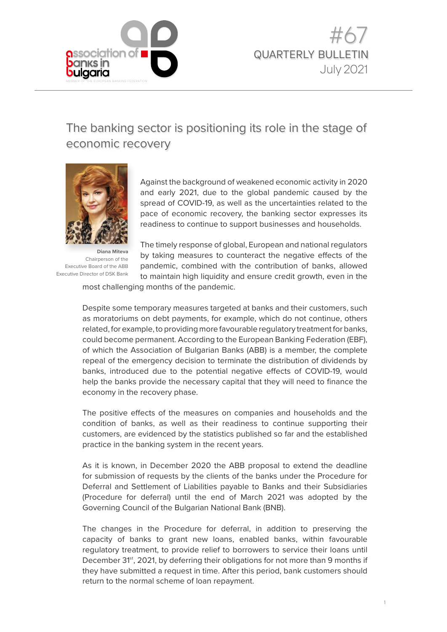

# The banking sector is positioning its role in the stage of economic recovery



**Diana Miteva** Chairperson of the Executive Board of the ABB Executive Director of DSK Bank

Against the background of weakened economic activity in 2020 and early 2021, due to the global pandemic caused by the spread of COVID-19, as well as the uncertainties related to the pace of economic recovery, the banking sector expresses its readiness to continue to support businesses and households.

The timely response of global, European and national regulators by taking measures to counteract the negative effects of the pandemic, combined with the contribution of banks, allowed to maintain high liquidity and ensure credit growth, even in the

most challenging months of the pandemic.

Despite some temporary measures targeted at banks and their customers, such as moratoriums on debt payments, for example, which do not continue, others related, for example, to providing more favourable regulatory treatment for banks, could become permanent. According to the European Banking Federation (EBF), of which the Association of Bulgarian Banks (ABB) is a member, the complete repeal of the emergency decision to terminate the distribution of dividends by banks, introduced due to the potential negative effects of COVID-19, would help the banks provide the necessary capital that they will need to finance the economy in the recovery phase.

The positive effects of the measures on companies and households and the condition of banks, as well as their readiness to continue supporting their customers, are evidenced by the statistics published so far and the established practice in the banking system in the recent years.

As it is known, in December 2020 the ABB proposal to extend the deadline for submission of requests by the clients of the banks under the Procedure for Deferral and Settlement of Liabilities payable to Banks and their Subsidiaries (Procedure for deferral) until the end of March 2021 was adopted by the Governing Council of the Bulgarian National Bank (BNB).

The changes in the Procedure for deferral, in addition to preserving the capacity of banks to grant new loans, enabled banks, within favourable regulatory treatment, to provide relief to borrowers to service their loans until December 31<sup>st</sup>, 2021, by deferring their obligations for not more than 9 months if they have submitted a request in time. After this period, bank customers should return to the normal scheme of loan repayment.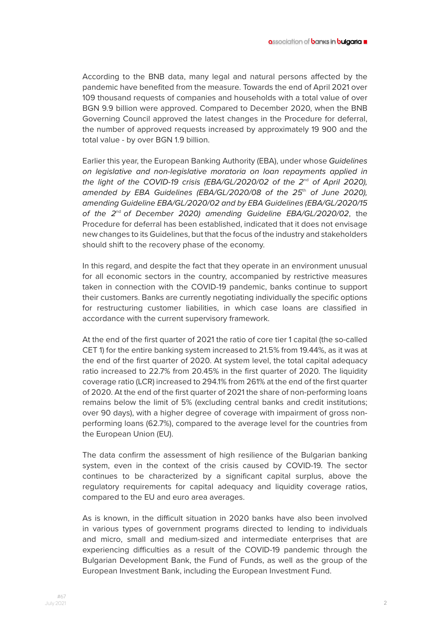According to the BNB data, many legal and natural persons affected by the pandemic have benefited from the measure. Towards the end of April 2021 over 109 thousand requests of companies and households with a total value of over BGN 9.9 billion were approved. Compared to December 2020, when the BNB Governing Council approved the latest changes in the Procedure for deferral, the number of approved requests increased by approximately 19 900 and the total value - by over BGN 1.9 billion.

Earlier this year, the European Banking Authority (EBA), under whose *Guidelines on legislative and non-legislative moratoria on loan repayments applied in the light of the COVID-19 crisis (EBA/GL/2020/02 of the 2<sup>nd</sup> of April 2020), amended by EBA Guidelines (EBA/GL/2020/08 of the 25*th *of June 2020), amending Guideline EBA/GL/2020/02 and by EBA Guidelines (EBA/GL/2020/15 of the 2*nd *of December 2020) amending Guideline EBA/GL/2020/02*, the Procedure for deferral has been established, indicated that it does not envisage new changes to its Guidelines, but that the focus of the industry and stakeholders should shift to the recovery phase of the economy.

In this regard, and despite the fact that they operate in an environment unusual for all economic sectors in the country, accompanied by restrictive measures taken in connection with the COVID-19 pandemic, banks continue to support their customers. Banks are currently negotiating individually the specific options for restructuring customer liabilities, in which case loans are classified in accordance with the current supervisory framework.

At the end of the first quarter of 2021 the ratio of core tier 1 capital (the so-called CET 1) for the entire banking system increased to 21.5% from 19.44%, as it was at the end of the first quarter of 2020. At system level, the total capital adequacy ratio increased to 22.7% from 20.45% in the first quarter of 2020. The liquidity coverage ratio (LCR) increased to 294.1% from 261% at the end of the first quarter of 2020. At the end of the first quarter of 2021 the share of non-performing loans remains below the limit of 5% (excluding central banks and credit institutions; over 90 days), with a higher degree of coverage with impairment of gross nonperforming loans (62.7%), compared to the average level for the countries from the European Union (EU).

The data confirm the assessment of high resilience of the Bulgarian banking system, even in the context of the crisis caused by COVID-19. The sector continues to be characterized by a significant capital surplus, above the regulatory requirements for capital adequacy and liquidity coverage ratios, compared to the EU and euro area averages.

As is known, in the difficult situation in 2020 banks have also been involved in various types of government programs directed to lending to individuals and micro, small and medium-sized and intermediate enterprises that are experiencing difficulties as a result of the COVID-19 pandemic through the Bulgarian Development Bank, the Fund of Funds, as well as the group of the European Investment Bank, including the European Investment Fund.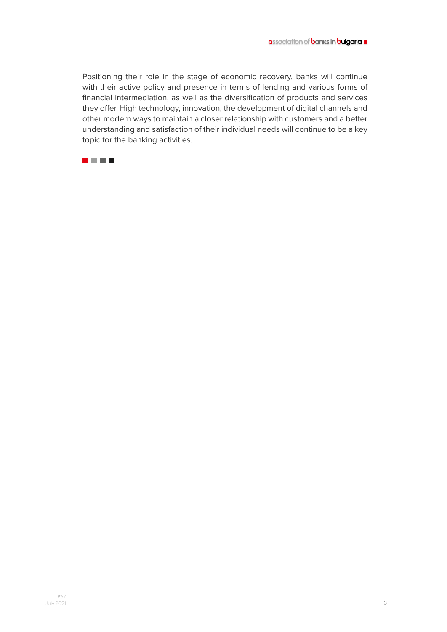Positioning their role in the stage of economic recovery, banks will continue with their active policy and presence in terms of lending and various forms of financial intermediation, as well as the diversification of products and services they offer. High technology, innovation, the development of digital channels and other modern ways to maintain a closer relationship with customers and a better understanding and satisfaction of their individual needs will continue to be a key topic for the banking activities.

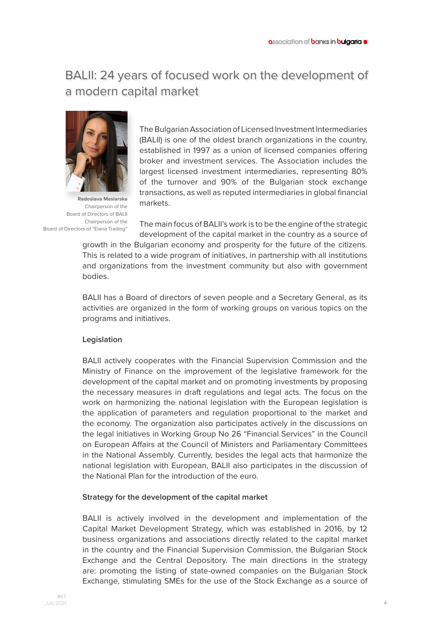# BALII: 24 years of focused work on the development of a modern capital market



**Radoslava Maslarska** Chairperson of the Board of Directors of BALII Chairperson of the Board of Directors of "Elana Trading"

The Bulgarian Association of Licensed Investment Intermediaries (BALII) is one of the oldest branch organizations in the country, established in 1997 as a union of licensed companies offering broker and investment services. The Association includes the largest licensed investment intermediaries, representing 80% of the turnover and 90% of the Bulgarian stock exchange transactions, as well as reputed intermediaries in global financial markets.

The main focus of BALII's work is to be the engine of the strategic development of the capital market in the country as a source of

growth in the Bulgarian economy and prosperity for the future of the citizens. This is related to a wide program of initiatives, in partnership with all institutions and organizations from the investment community but also with government bodies.

BALII has a Board of directors of seven people and a Secretary General, as its activities are organized in the form of working groups on various topics on the programs and initiatives.

## **Legislation**

BALII actively cooperates with the Financial Supervision Commission and the Ministry of Finance on the improvement of the legislative framework for the development of the capital market and on promoting investments by proposing the necessary measures in draft regulations and legal acts. The focus on the work on harmonizing the national legislation with the European legislation is the application of parameters and regulation proportional to the market and the economy. The organization also participates actively in the discussions on the legal initiatives in Working Group No 26 "Financial Services" in the Council on European Affairs at the Council of Ministers and Parliamentary Committees in the National Assembly. Currently, besides the legal acts that harmonize the national legislation with European, BALII also participates in the discussion of the National Plan for the introduction of the euro.

### **Strategy for the development of the capital market**

BALII is actively involved in the development and implementation of the Capital Market Development Strategy, which was established in 2016, by 12 business organizations and associations directly related to the capital market in the country and the Financial Supervision Commission, the Bulgarian Stock Exchange and the Central Depository. The main directions in the strategy are: promoting the listing of state-owned companies on the Bulgarian Stock Exchange, stimulating SMEs for the use of the Stock Exchange as a source of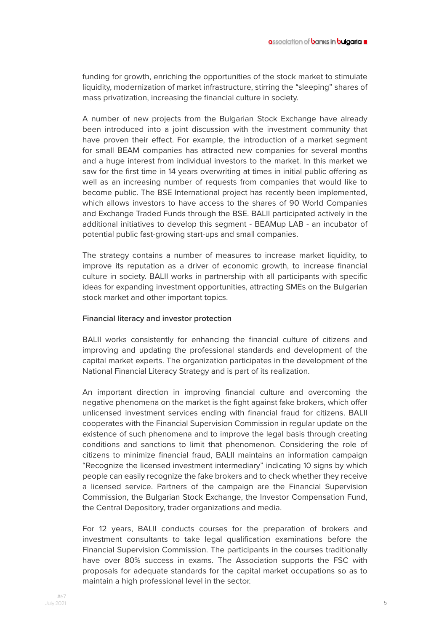funding for growth, enriching the opportunities of the stock market to stimulate liquidity, modernization of market infrastructure, stirring the "sleeping" shares of mass privatization, increasing the financial culture in society.

A number of new projects from the Bulgarian Stock Exchange have already been introduced into a joint discussion with the investment community that have proven their effect. For example, the introduction of a market segment for small BEAM companies has attracted new companies for several months and a huge interest from individual investors to the market. In this market we saw for the first time in 14 years overwriting at times in initial public offering as well as an increasing number of requests from companies that would like to become public. The BSE International project has recently been implemented, which allows investors to have access to the shares of 90 World Companies and Exchange Traded Funds through the BSE. BALII participated actively in the additional initiatives to develop this segment - BEAMup LAB - an incubator of potential public fast-growing start-ups and small companies.

The strategy contains a number of measures to increase market liquidity, to improve its reputation as a driver of economic growth, to increase financial culture in society. BALII works in partnership with all participants with specific ideas for expanding investment opportunities, attracting SMEs on the Bulgarian stock market and other important topics.

#### **Financial literacy and investor protection**

BALII works consistently for enhancing the financial culture of citizens and improving and updating the professional standards and development of the capital market experts. The organization participates in the development of the National Financial Literacy Strategy and is part of its realization.

An important direction in improving financial culture and overcoming the negative phenomena on the market is the fight against fake brokers, which offer unlicensed investment services ending with financial fraud for citizens. BALII cooperates with the Financial Supervision Commission in regular update on the existence of such phenomena and to improve the legal basis through creating conditions and sanctions to limit that phenomenon. Considering the role of citizens to minimize financial fraud, BALII maintains an information campaign "Recognize the licensed investment intermediary" indicating 10 signs by which people can easily recognize the fake brokers and to check whether they receive a licensed service. Partners of the campaign are the Financial Supervision Commission, the Bulgarian Stock Exchange, the Investor Compensation Fund, the Central Depository, trader organizations and media.

For 12 years, BALII conducts courses for the preparation of brokers and investment consultants to take legal qualification examinations before the Financial Supervision Commission. The participants in the courses traditionally have over 80% success in exams. The Association supports the FSC with proposals for adequate standards for the capital market occupations so as to maintain a high professional level in the sector.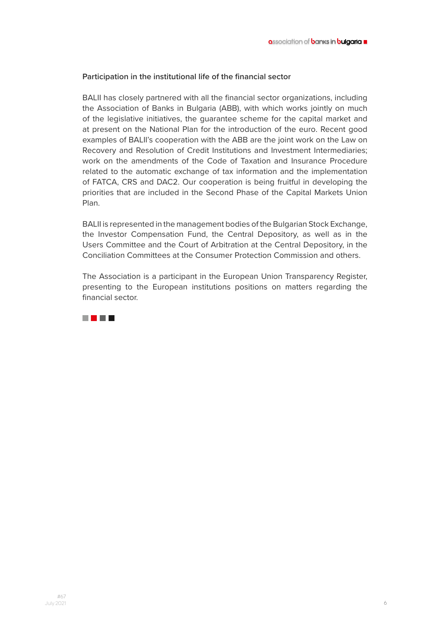### **Participation in the institutional life of the financial sector**

BALII has closely partnered with all the financial sector organizations, including the Association of Banks in Bulgaria (ABB), with which works jointly on much of the legislative initiatives, the guarantee scheme for the capital market and at present on the National Plan for the introduction of the euro. Recent good examples of BALII's cooperation with the ABB are the joint work on the Law on Recovery and Resolution of Credit Institutions and Investment Intermediaries; work on the amendments of the Code of Taxation and Insurance Procedure related to the automatic exchange of tax information and the implementation of FATCA, CRS and DAC2. Our cooperation is being fruitful in developing the priorities that are included in the Second Phase of the Capital Markets Union Plan.

BALII is represented in the management bodies of the Bulgarian Stock Exchange, the Investor Compensation Fund, the Central Depository, as well as in the Users Committee and the Court of Arbitration at the Central Depository, in the Conciliation Committees at the Consumer Protection Commission and others.

The Association is a participant in the European Union Transparency Register, presenting to the European institutions positions on matters regarding the financial sector.

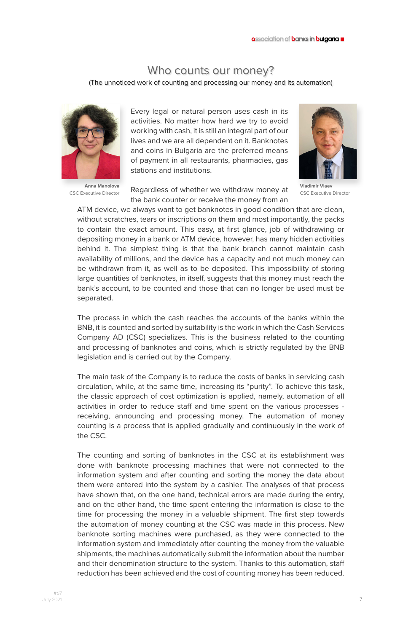## Who counts our money?

(The unnoticed work of counting and processing our money and its automation)



**Anna Manolova** CSC Executive Director

Every legal or natural person uses cash in its activities. No matter how hard we try to avoid working with cash, it is still an integral part of our lives and we are all dependent on it. Banknotes and coins in Bulgaria are the preferred means of payment in all restaurants, pharmacies, gas stations and institutions.

Regardless of whether we withdraw money at the bank counter or receive the money from an



**Vladimir Vlaev**  CSC Executive Director

ATM device, we always want to get banknotes in good condition that are clean, without scratches, tears or inscriptions on them and most importantly, the packs to contain the exact amount. This easy, at first glance, job of withdrawing or depositing money in a bank or ATM device, however, has many hidden activities behind it. The simplest thing is that the bank branch cannot maintain cash availability of millions, and the device has a capacity and not much money can be withdrawn from it, as well as to be deposited. This impossibility of storing large quantities of banknotes, in itself, suggests that this money must reach the bank's account, to be counted and those that can no longer be used must be separated.

The process in which the cash reaches the accounts of the banks within the BNB, it is counted and sorted by suitability is the work in which the Cash Services Company AD (CSC) specializes. This is the business related to the counting and processing of banknotes and coins, which is strictly regulated by the BNB legislation and is carried out by the Company.

The main task of the Company is to reduce the costs of banks in servicing cash circulation, while, at the same time, increasing its "purity". To achieve this task, the classic approach of cost optimization is applied, namely, automation of all activities in order to reduce staff and time spent on the various processes receiving, announcing and processing money. The automation of money counting is a process that is applied gradually and continuously in the work of the CSC.

The counting and sorting of banknotes in the CSC at its establishment was done with banknote processing machines that were not connected to the information system and after counting and sorting the money the data about them were entered into the system by a cashier. The analyses of that process have shown that, on the one hand, technical errors are made during the entry, and on the other hand, the time spent entering the information is close to the time for processing the money in a valuable shipment. The first step towards the automation of money counting at the CSC was made in this process. New banknote sorting machines were purchased, as they were connected to the information system and immediately after counting the money from the valuable shipments, the machines automatically submit the information about the number and their denomination structure to the system. Thanks to this automation, staff reduction has been achieved and the cost of counting money has been reduced.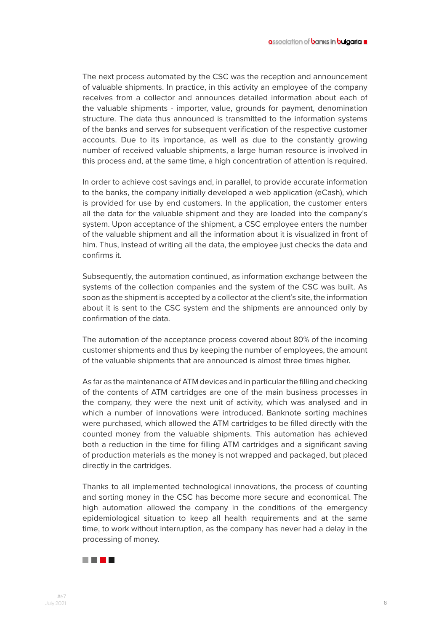The next process automated by the CSC was the reception and announcement of valuable shipments. In practice, in this activity an employee of the company receives from a collector and announces detailed information about each of the valuable shipments - importer, value, grounds for payment, denomination structure. The data thus announced is transmitted to the information systems of the banks and serves for subsequent verification of the respective customer accounts. Due to its importance, as well as due to the constantly growing number of received valuable shipments, a large human resource is involved in this process and, at the same time, a high concentration of attention is required.

In order to achieve cost savings and, in parallel, to provide accurate information to the banks, the company initially developed a web application (eCash), which is provided for use by end customers. In the application, the customer enters all the data for the valuable shipment and they are loaded into the company's system. Upon acceptance of the shipment, a CSC employee enters the number of the valuable shipment and all the information about it is visualized in front of him. Thus, instead of writing all the data, the employee just checks the data and confirms it.

Subsequently, the automation continued, as information exchange between the systems of the collection companies and the system of the CSC was built. As soon as the shipment is accepted by a collector at the client's site, the information about it is sent to the CSC system and the shipments are announced only by confirmation of the data.

The automation of the acceptance process covered about 80% of the incoming customer shipments and thus by keeping the number of employees, the amount of the valuable shipments that are announced is almost three times higher.

As far as the maintenance of ATM devices and in particular the filling and checking of the contents of ATM cartridges are one of the main business processes in the company, they were the next unit of activity, which was analysed and in which a number of innovations were introduced. Banknote sorting machines were purchased, which allowed the ATM cartridges to be filled directly with the counted money from the valuable shipments. This automation has achieved both a reduction in the time for filling ATM cartridges and a significant saving of production materials as the money is not wrapped and packaged, but placed directly in the cartridges.

Thanks to all implemented technological innovations, the process of counting and sorting money in the CSC has become more secure and economical. The high automation allowed the company in the conditions of the emergency epidemiological situation to keep all health requirements and at the same time, to work without interruption, as the company has never had a delay in the processing of money.